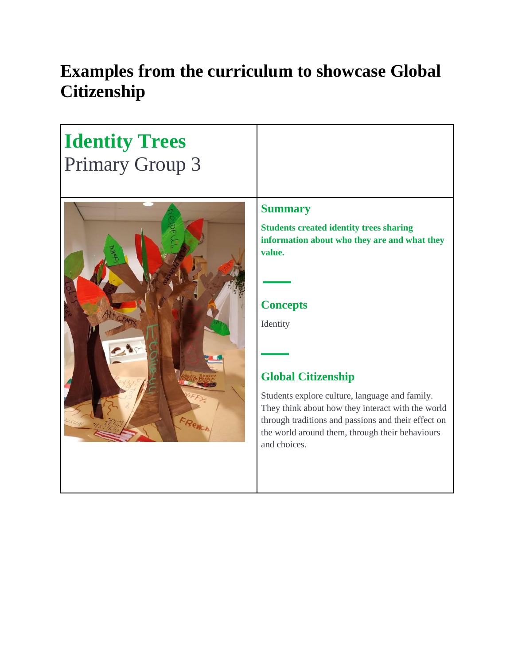## **Examples from the curriculum to showcase Global Citizenship**

| <b>Identity Trees</b><br><b>Primary Group 3</b> |                                                                                                                                                                                                                                                                                                                                                                                                                         |
|-------------------------------------------------|-------------------------------------------------------------------------------------------------------------------------------------------------------------------------------------------------------------------------------------------------------------------------------------------------------------------------------------------------------------------------------------------------------------------------|
|                                                 | <b>Summary</b><br><b>Students created identity trees sharing</b><br>information about who they are and what they<br>value.<br><b>Concepts</b><br>Identity<br><b>Global Citizenship</b><br>Students explore culture, language and family.<br>They think about how they interact with the world<br>through traditions and passions and their effect on<br>the world around them, through their behaviours<br>and choices. |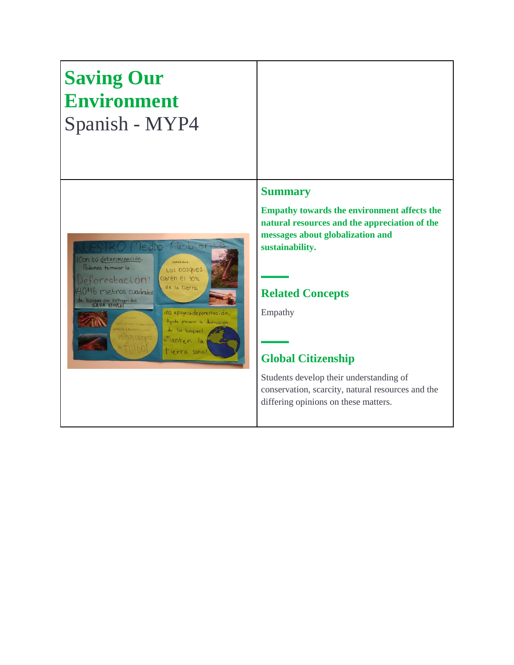# **Saving Our Environment** Spanish - MYP4



#### **Summary**

**Empathy towards the environment affects the natural resources and the appreciation of the messages about globalization and sustainability.**

## **Related Concepts**

Empathy

## **Global Citizenship**

Students develop their understanding of conservation, scarcity, natural resources and the differing opinions on these matters.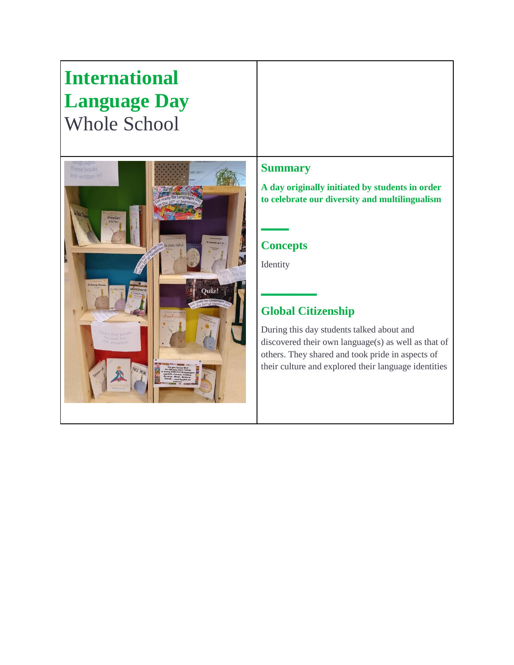## **International Language Day** Whole School



## **Summary**

**A day originally initiated by students in order to celebrate our diversity and multilingualism**

## **Concepts**

Identity

## **Global Citizenship**

During this day students talked about and discovered their own language(s) as well as that of others. They shared and took pride in aspects of their culture and explored their language identities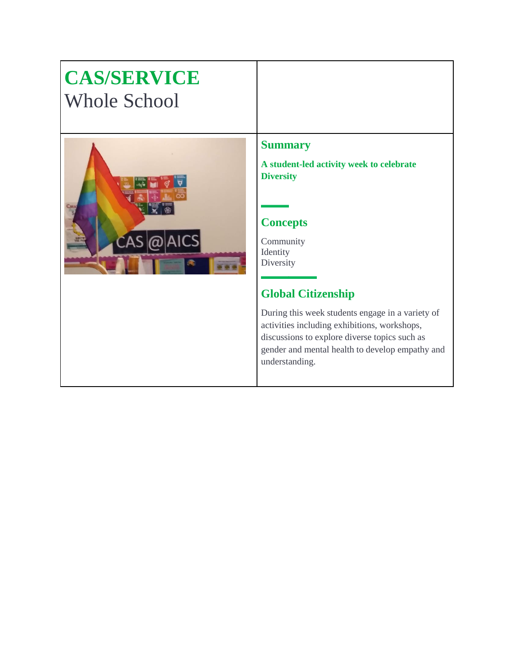## **CAS/SERVICE** Whole School



#### **Summary**

**A student-led activity week to celebrate Diversity**

## **Concepts**

Community Identity **Diversity** 

## **Global Citizenship**

During this week students engage in a variety of activities including exhibitions, workshops, discussions to explore diverse topics such as gender and mental health to develop empathy and understanding.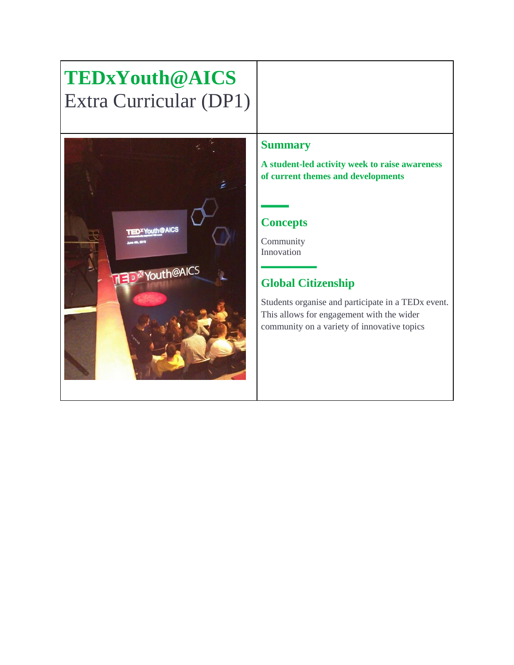# **TEDxYouth@AICS** Extra Curricular (DP1)



#### **Summary**

**A student-led activity week to raise awareness of current themes and developments**

## **Concepts**

Community Innovation

## **Global Citizenship**

Students organise and participate in a TEDx event. This allows for engagement with the wider community on a variety of innovative topics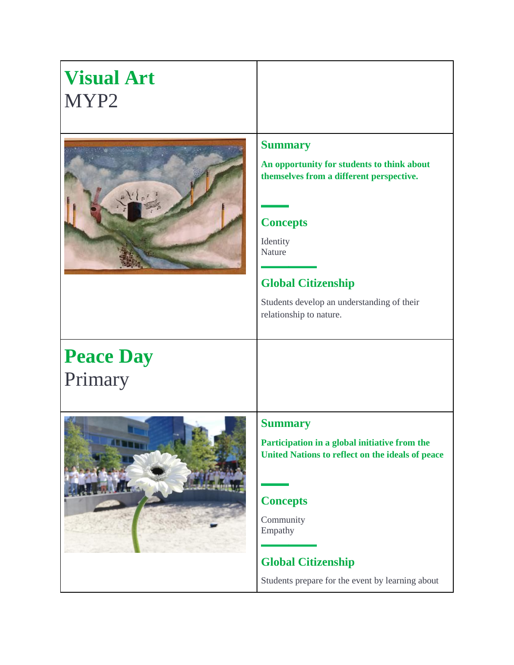| <b>Visual Art</b><br>MYP2   |                                                                                                                                                                                                                                                         |
|-----------------------------|---------------------------------------------------------------------------------------------------------------------------------------------------------------------------------------------------------------------------------------------------------|
|                             | <b>Summary</b><br>An opportunity for students to think about<br>themselves from a different perspective.<br><b>Concepts</b><br>Identity<br>Nature<br><b>Global Citizenship</b><br>Students develop an understanding of their<br>relationship to nature. |
| <b>Peace Day</b><br>Primary |                                                                                                                                                                                                                                                         |
|                             | <b>Summary</b><br>Participation in a global initiative from the<br>United Nations to reflect on the ideals of peace<br><b>Concepts</b><br>Community<br>Empathy<br><b>Global Citizenship</b><br>Students prepare for the event by learning about         |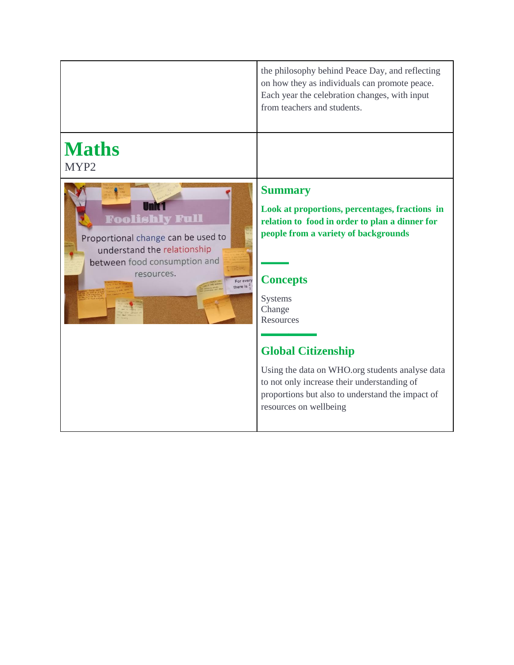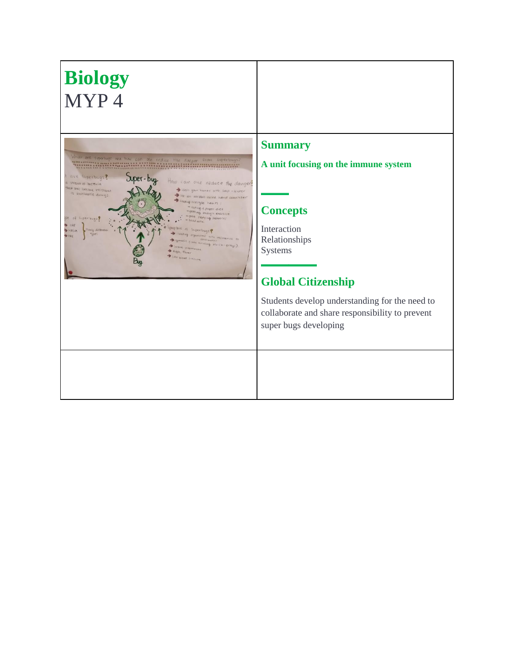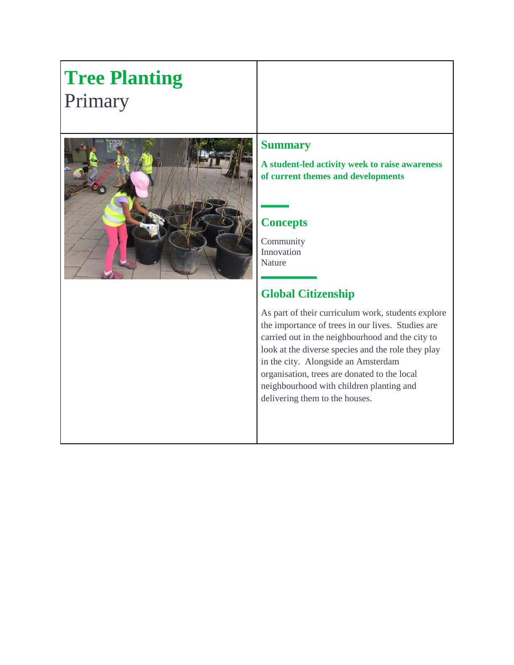# **Tree Planting**  Primary



#### **Summary**

**A student-led activity week to raise awareness of current themes and developments**

## **Concepts**

Community Innovation Nature

## **Global Citizenship**

As part of their curriculum work, students explore the importance of trees in our lives. Studies are carried out in the neighbourhood and the city to look at the diverse species and the role they play in the city. Alongside an Amsterdam organisation, trees are donated to the local neighbourhood with children planting and delivering them to the houses.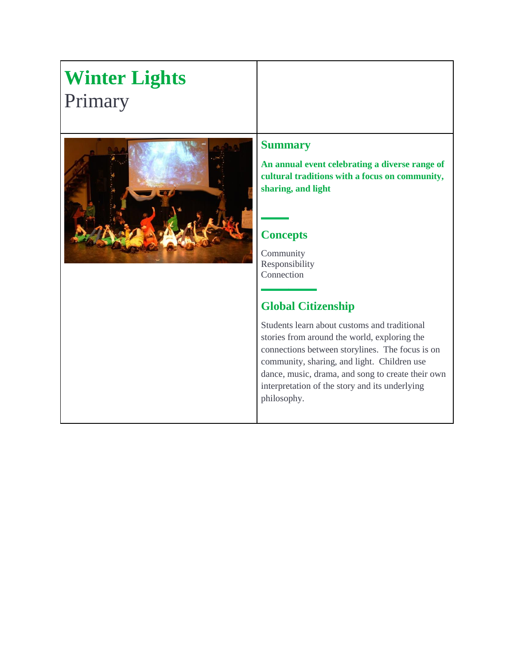# **Winter Lights**  Primary



#### **Summary**

**An annual event celebrating a diverse range of cultural traditions with a focus on community, sharing, and light**

## **Concepts**

Community Responsibility Connection

## **Global Citizenship**

Students learn about customs and traditional stories from around the world, exploring the connections between storylines. The focus is on community, sharing, and light. Children use dance, music, drama, and song to create their own interpretation of the story and its underlying philosophy.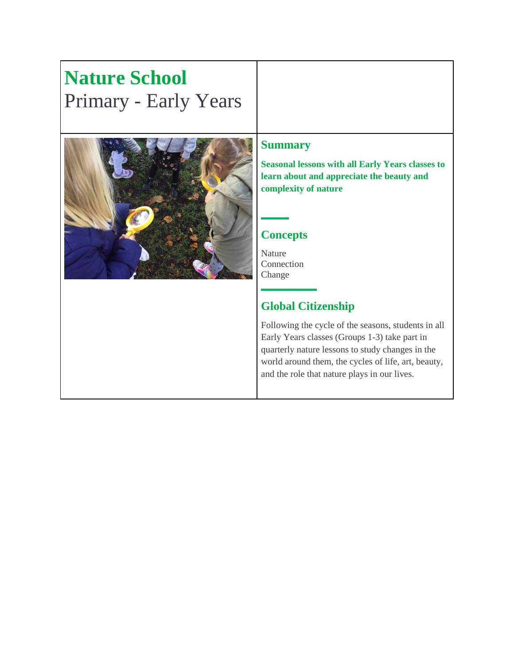## **Nature School**  Primary - Early Years



## **Summary**

**Seasonal lessons with all Early Years classes to learn about and appreciate the beauty and complexity of nature**

## **Concepts**

Nature Connection Change

## **Global Citizenship**

Following the cycle of the seasons, students in all Early Years classes (Groups 1-3) take part in quarterly nature lessons to study changes in the world around them, the cycles of life, art, beauty, and the role that nature plays in our lives.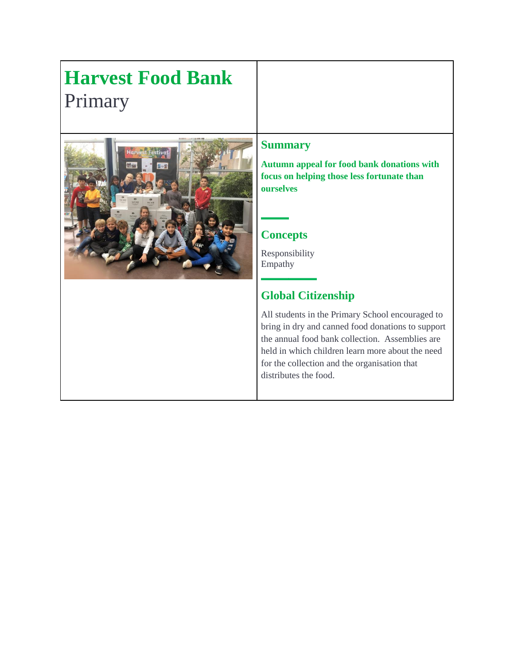# **Harvest Food Bank**  Primary



## **Summary**

**Autumn appeal for food bank donations with focus on helping those less fortunate than ourselves**

## **Concepts**

Responsibility Empathy

## **Global Citizenship**

All students in the Primary School encouraged to bring in dry and canned food donations to support the annual food bank collection. Assemblies are held in which children learn more about the need for the collection and the organisation that distributes the food.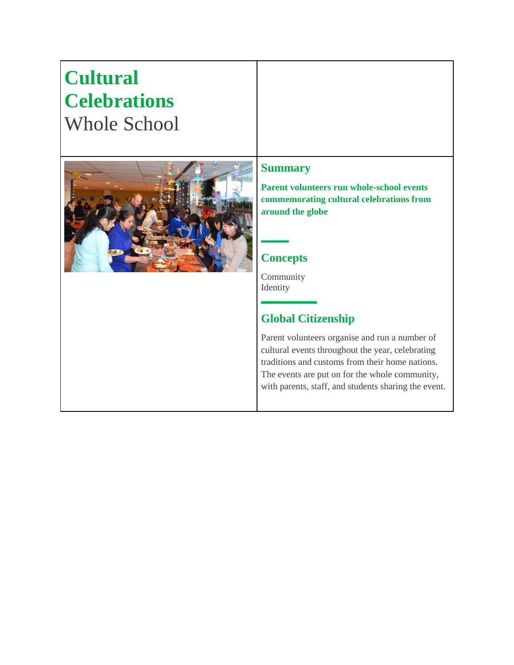## **Cultural Celebrations**  Whole School **Summary Parent volunteers run whole-school events commemorating cultural celebrations from around the globe Concepts** Community Identity **Global Citizenship** Parent volunteers organise and run a number of cultural events throughout the year, celebrating traditions and customs from their home nations. The events are put on for the whole community, with parents, staff, and students sharing the event.